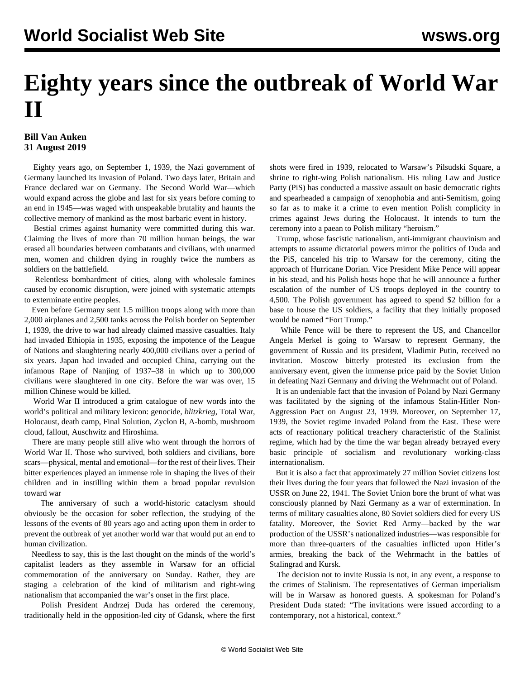## **Eighty years since the outbreak of World War II**

## **Bill Van Auken 31 August 2019**

 Eighty years ago, on September 1, 1939, the Nazi government of Germany launched its invasion of Poland. Two days later, Britain and France declared war on Germany. The Second World War—which would expand across the globe and last for six years before coming to an end in 1945—was waged with unspeakable brutality and haunts the collective memory of mankind as the most barbaric event in history.

 Bestial crimes against humanity were committed during this war. Claiming the lives of more than 70 million human beings, the war erased all boundaries between combatants and civilians, with unarmed men, women and children dying in roughly twice the numbers as soldiers on the battlefield.

 Relentless bombardment of cities, along with wholesale famines caused by economic disruption, were joined with systematic attempts to exterminate entire peoples.

 Even before Germany sent 1.5 million troops along with more than 2,000 airplanes and 2,500 tanks across the Polish border on September 1, 1939, the drive to war had already claimed massive casualties. Italy had invaded Ethiopia in 1935, exposing the impotence of the League of Nations and slaughtering nearly 400,000 civilians over a period of six years. Japan had invaded and occupied China, carrying out the infamous Rape of Nanjing of 1937–38 in which up to 300,000 civilians were slaughtered in one city. Before the war was over, 15 million Chinese would be killed.

 World War II introduced a grim catalogue of new words into the world's political and military lexicon: genocide, *blitzkrieg*, Total War, Holocaust, death camp, Final Solution, Zyclon B, A-bomb, mushroom cloud, fallout, Auschwitz and Hiroshima.

 There are many people still alive who went through the horrors of World War II. Those who survived, both soldiers and civilians, bore scars—physical, mental and emotional—for the rest of their lives. Their bitter experiences played an immense role in shaping the lives of their children and in instilling within them a broad popular revulsion toward war

 The anniversary of such a world-historic cataclysm should obviously be the occasion for sober reflection, the studying of the lessons of the events of 80 years ago and acting upon them in order to prevent the outbreak of yet another world war that would put an end to human civilization.

 Needless to say, this is the last thought on the minds of the world's capitalist leaders as they assemble in Warsaw for an official commemoration of the anniversary on Sunday. Rather, they are staging a celebration of the kind of militarism and right-wing nationalism that accompanied the war's onset in the first place.

 Polish President Andrzej Duda has ordered the ceremony, traditionally held in the opposition-led city of Gdansk, where the first shots were fired in 1939, relocated to Warsaw's Pilsudski Square, a shrine to right-wing Polish nationalism. His ruling Law and Justice Party (PiS) has conducted a massive assault on basic democratic rights and spearheaded a campaign of xenophobia and anti-Semitism, going so far as to make it a crime to even mention Polish complicity in crimes against Jews during the Holocaust. It intends to turn the ceremony into a paean to Polish military "heroism."

 Trump, whose fascistic nationalism, anti-immigrant chauvinism and attempts to assume dictatorial powers mirror the politics of Duda and the PiS, canceled his trip to Warsaw for the ceremony, citing the approach of Hurricane Dorian. Vice President Mike Pence will appear in his stead, and his Polish hosts hope that he will announce a further escalation of the number of US troops deployed in the country to 4,500. The Polish government has agreed to spend \$2 billion for a base to house the US soldiers, a facility that they initially proposed would be named "Fort Trump."

 While Pence will be there to represent the US, and Chancellor Angela Merkel is going to Warsaw to represent Germany, the government of Russia and its president, Vladimir Putin, received no invitation. Moscow bitterly protested its exclusion from the anniversary event, given the immense price paid by the Soviet Union in defeating Nazi Germany and driving the Wehrmacht out of Poland.

 It is an undeniable fact that the invasion of Poland by Nazi Germany was facilitated by the signing of the infamous Stalin-Hitler Non-Aggression Pact on August 23, 1939. Moreover, on September 17, 1939, the Soviet regime invaded Poland from the East. These were acts of reactionary political treachery characteristic of the Stalinist regime, which had by the time the war began already betrayed every basic principle of socialism and revolutionary working-class internationalism.

 But it is also a fact that approximately 27 million Soviet citizens lost their lives during the four years that followed the Nazi invasion of the USSR on June 22, 1941. The Soviet Union bore the brunt of what was consciously planned by Nazi Germany as a war of extermination. In terms of military casualties alone, 80 Soviet soldiers died for every US fatality. Moreover, the Soviet Red Army—backed by the war production of the USSR's nationalized industries—was responsible for more than three-quarters of the casualties inflicted upon Hitler's armies, breaking the back of the Wehrmacht in the battles of Stalingrad and Kursk.

 The decision not to invite Russia is not, in any event, a response to the crimes of Stalinism. The representatives of German imperialism will be in Warsaw as honored guests. A spokesman for Poland's President Duda stated: "The invitations were issued according to a contemporary, not a historical, context."